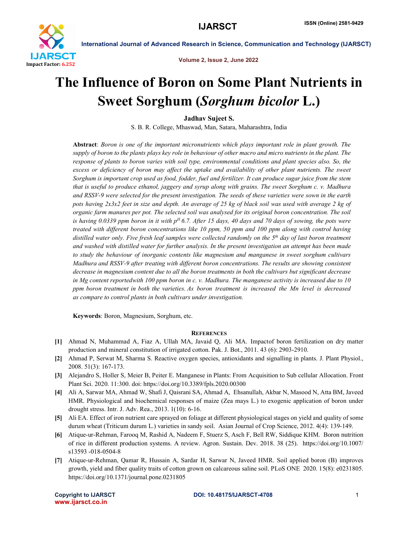

International Journal of Advanced Research in Science, Communication and Technology (IJARSCT)

Volume 2, Issue 2, June 2022

# The Influence of Boron on Some Plant Nutrients in Sweet Sorghum (*Sorghum bicolor* L.)

Jadhav Sujeet S.

S. B. R. College, Mhaswad, Man, Satara, Maharashtra, India

Abstract: *Boron is one of the important micronutrients which plays important role in plant growth. The supply of boron to the plants plays key role in behaviour of other macro and micro nutrients in the plant. The response of plants to boron varies with soil type, environmental conditions and plant species also. So, the*  excess or deficiency of boron may affect the uptake and availability of other plant nutrients. The sweet *Sorghum is important crop used as food, fodder, fuel and fertilizer. It can produce sugar juice from the stem that is useful to produce ethanol, jaggery and syrup along with grains. The sweet Sorghum c. v. Madhura and RSSV-9 were selected for the present investigation. The seeds of these varieties were sown in the earth pots having 2x3x2 feet in size and depth. An average of 25 kg of black soil was used with average 2 kg of organic farm manures per pot. The selected soil was analysed for its original boron concentration. The soil is having 0.0339 ppm boron in it with pH 6.7. After 15 days, 40 days and 70 days of sowing, the pots were treated with different boron concentrations like 10 ppm, 50 ppm and 100 ppm along with control having distilled water only. Five fresh leaf samples were collected randomly on the 5th day of last boron treatment and washed with distilled water for further analysis. In the present investigation an attempt has been made to study the behaviour of inorganic contents like magnesium and manganese in sweet sorghum cultivars Madhura and RSSV-9 after treating with different boron concentrations. The results are showing consistent decrease in magnesium content due to all the boron treatments in both the cultivars but significant decrease in Mg content reportedwith 100 ppm boron in c. v. Madhura. The manganese activity is increased due to 10 ppm boron treatment in both the varieties. As boron treatment is increased the Mn level is decreased as compare to control plants in both cultivars under investigation.*

Keywords: Boron, Magnesium, Sorghum, etc.

## **REFERENCES**

- [1] Ahmad N, Muhammad A, Fiaz A, Ullah MA, Javaid Q, Ali MA. Impactof boron fertilization on dry matter production and mineral constitution of irrigated cotton. Pak. J. Bot., 2011. 43 (6): 2903-2910.
- [2] Ahmad P, Serwat M, Sharma S. Reactive oxygen species, antioxidants and signalling in plants. J. Plant Physiol., 2008. 51(3): 167-173.
- [3] Alejandro S, Holler S, Meier B, Peiter E. Manganese in Plants: From Acquisition to Sub cellular Allocation. Front Plant Sci. 2020. 11:300. doi: https://doi.org/10.3389/fpls.2020.00300
- [4] Ali A, Sarwar MA, Ahmad W, Shafi J, Qaisrani SA, Ahmad A, Ehsanullah, Akbar N, Masood N, Atta BM, Javeed HMR. Physiological and biochemical responses of maize (Zea mays L.) to exogenic application of boron under drought stress. Intr. J. Adv. Rea., 2013. 1(10): 6-16.
- [5] Ali EA. Effect of iron nutrient care sprayed on foliage at different physiological stages on yield and quality of some durum wheat (Triticum durum L.) varieties in sandy soil. Asian Journal of Crop Science, 2012. 4(4): 139-149.
- [6] Atique-ur-Rehman, Farooq M, Rashid A, Nadeem F, Stuerz S, Asch F, Bell RW, Siddique KHM. Boron nutrition of rice in different production systems. A review. Agron. Sustain. Dev. 2018. 38 (25). https://doi.org/10.1007/ s13593 -018-0504-8
- [7] Atique-ur-Rehman, Qamar R, Hussain A, Sardar H, Sarwar N, Javeed HMR. Soil applied boron (B) improves growth, yield and fiber quality traits of cotton grown on calcareous saline soil. PLoS ONE 2020. 15(8): e0231805. https://doi.org/10.1371/journal.pone.0231805

www.ijarsct.co.in

### Copyright to IJARSCT **DOI: 10.48175/IJARSCT-4708** 1